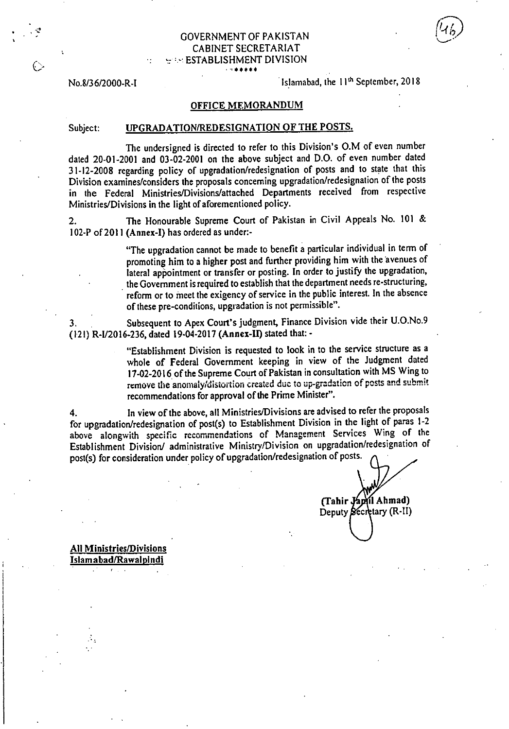| <b>GOVERNMENT OF PAKISTAN</b>          |
|----------------------------------------|
| CABINET SECRETARIAT                    |
| $\vdash \vdash$ ESTABLISHMENT DIVISION |
| .                                      |

No.8/36/2000-R-I Islamabad, the 11<sup>th</sup> September, 2018

### OFFICE **MEMORANDUM**

### Subject: UPGRADATION/REDESIGNATION OF THE POSTS.

The undersigned is directed to refer to this Division's 0.M of even number dated 20-01-2001 and 03-02-2001 on the above subject and D.O. of even number dated 31-12-2008 regarding policy of upgradation/redesignation of posts and to state that this Division examines/considers the proposals concerning upgradation/redesignation of the posts in the Federal Ministries/Divisions/attached Departments received from respective Ministries/Divisions in the light of aforementioned policy.

2. The Honourable Supreme Court of Pakistan in Civil Appeals No. 101 & 102-P of 2011 (Annex-I) has ordered as under:-

> "The upgradation cannot be made to benefit a particular individual in term of promoting him to a higher post and further providing him with the avenues of lateral appointment or transfer or posting. In order to justify the upgradation, the Government is required to establish that the department needs re-structuring, reform or to meet the exigency of service in the public interest. In the absence of these pre-conditions, upgradation is not permissible".

Subsequent to Apex Court's judgment, Finance Division vide their U.O.No.9 3. (121) R-I/2016-236, dated 19-04-2017 **(Annex-II)** stated that: -

> "Establishment Division is requested to look in to the service structure as a whole of Federal Government keeping in view of the Judgment dated 17-02-2016 of the Supreme Court of Pakistan in consultation with MS Wing to remove the anomaly/distortion created due to up-gradation of posts and submit recommendations for approval of the Prime Minister".

In view of the above, all Ministries/Divisions are advised to refer the proposals  $\overline{4}$ . for upgradation/redesignation of post(s) to Establishment Division in the light of paras 1-2 above alongwith specific recommendations of Management Services Wing of the Establishment Division/ administrative Ministry/Division on upgradation/redesignation of post(s) for consideration under policy of upgradation/redesignation of posts.

**I Ahmad) (Tahir**  Deputy Sécretary (R-II)

**All Ministries/Divisions Islamabad/Rawalpindi** 

A.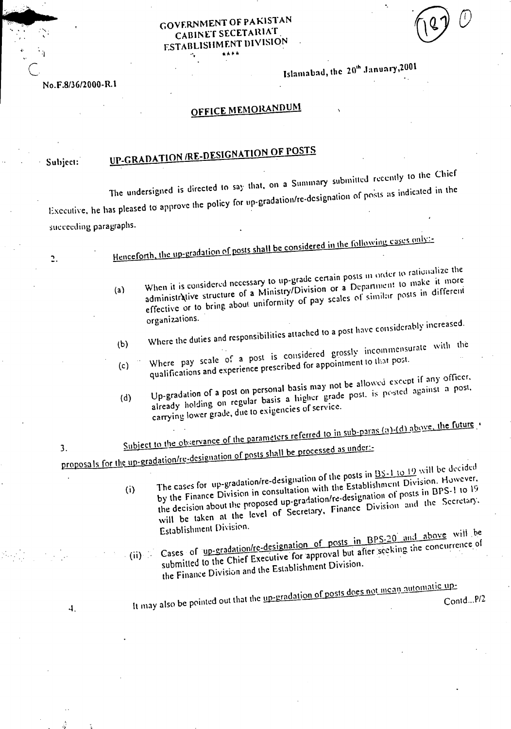### GOVERNMENT OF PAKISTAN CABINET SECETARIAT ESTABLISHMENT DIVISION «Ath

Islamabad, the 20th January, 2001

### No.F.8/36/2000-R.1

## OFFICE MEMORANDUM

### Subject:

 $\ddot{c}$ 

# UP-GRADATION /RE-DESIGNATION OF POSTS

It may also be pointed out that the  $\frac{np-\mu_1}{p}$ 

The undersigned is directed to say that, on a Summary submitted recently to the Chief Executive, he has pleased to approve the policy for up-gradation/re-designation of posts as indicated in the succeeding paragraphs.

|     | Henceforth, the up-gradation of posts shall be considered in the following cases only:                                                                                                                                                                                                                                                                  |
|-----|---------------------------------------------------------------------------------------------------------------------------------------------------------------------------------------------------------------------------------------------------------------------------------------------------------------------------------------------------------|
|     |                                                                                                                                                                                                                                                                                                                                                         |
| (a) | When it is considered necessary to up-grade certain posts in order to rationalize the<br>administrative structure of a Ministry/Division or a Department to make it more<br>effective or to bring about uniformity of pay scales of similar posts in different<br>organizations.                                                                        |
|     |                                                                                                                                                                                                                                                                                                                                                         |
| (b) | Where the duties and responsibilities attached to a post have considerably increased.                                                                                                                                                                                                                                                                   |
| (c) | Where pay scale of a post is considered grossly incommensurate with the<br>qualifications and experience prescribed for appointment to that post.                                                                                                                                                                                                       |
| (d) | Up-gradation of a post on personal basis may not be allowed except if any officer.<br>already holding on regular basis a higher grade post, is posted against a post,<br>carrying lower grade, due to exigencies of service.                                                                                                                            |
|     | Subject to the observance of the parameters referred to in sub-paras (a)-(d) above, the future                                                                                                                                                                                                                                                          |
|     |                                                                                                                                                                                                                                                                                                                                                         |
|     |                                                                                                                                                                                                                                                                                                                                                         |
|     | proposals for the up-gradation/re-designation of posts shall be processed as under:-                                                                                                                                                                                                                                                                    |
| (i) | The cases for up-gradation/re-designation of the posts in <b>BS-1 to 19</b> will be decided<br>by the Finance Division in consultation with the Establishment Division. However,<br>the decision about the proposed up-gradation/re-designation of posts in BPS-1 to 19<br>will be taken at the level of Secretary, Finance Division and the Secretary. |
|     | Establishment Division.<br>Let note in RPS. 20 and above will be                                                                                                                                                                                                                                                                                        |

 $(ii)$   $\rightarrow$  $\epsilon$  or a radation/re-designation of posts in BPS-20 and the concurrence submitted to the Chief Executive. for approval but after seeking the concurrence. the Finance Division and the Establishment Division.

> eradation of posts does not mean automatic up-Contd...P/2

4.

3.